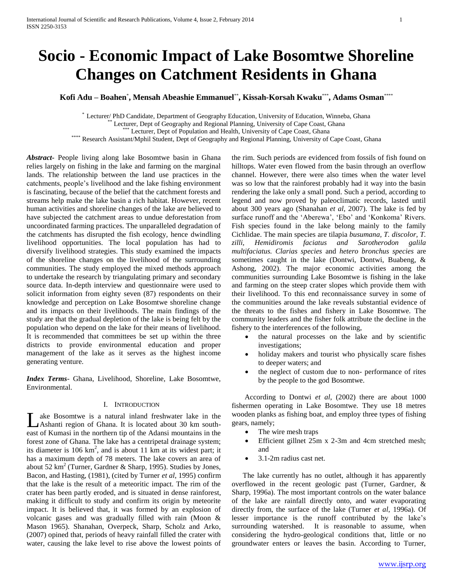# **Socio - Economic Impact of Lake Bosomtwe Shoreline Changes on Catchment Residents in Ghana**

**Kofi Adu – Boahen**\* **, Mensah Abeashie Emmanuel**\*\* **, Kissah-Korsah Kwaku**\*\*\* **, Adams Osman**\*\*\*\*

Lecturer/ PhD Candidate, Department of Geography Education, University of Education, Winneba, Ghana

Lecturer, Dept of Geography and Regional Planning, University of Cape Coast, Ghana

Lecturer, Dept of Population and Health, University of Cape Coast, Ghana

\*\*\*\* Research Assistant/Mphil Student, Dept of Geography and Regional Planning, University of Cape Coast, Ghana

*Abstract***-** People living along lake Bosomtwe basin in Ghana relies largely on fishing in the lake and farming on the marginal lands. The relationship between the land use practices in the catchments, people's livelihood and the lake fishing environment is fascinating, because of the belief that the catchment forests and streams help make the lake basin a rich habitat. However, recent human activities and shoreline changes of the lake are believed to have subjected the catchment areas to undue deforestation from uncoordinated farming practices. The unparalleled degradation of the catchments has disrupted the fish ecology, hence dwindling livelihood opportunities. The local population has had to diversify livelihood strategies. This study examined the impacts of the shoreline changes on the livelihood of the surrounding communities. The study employed the mixed methods approach to undertake the research by triangulating primary and secondary source data. In-depth interview and questionnaire were used to solicit information from eighty seven (87) respondents on their knowledge and perception on Lake Bosomtwe shoreline change and its impacts on their livelihoods. The main findings of the study are that the gradual depletion of the lake is being felt by the population who depend on the lake for their means of livelihood. It is recommended that committees be set up within the three districts to provide environmental education and proper management of the lake as it serves as the highest income generating venture.

*Index Terms*- Ghana, Livelihood, Shoreline, Lake Bosomtwe, Environmental.

#### I. INTRODUCTION

ake Bosomtwe is a natural inland freshwater lake in the Ashanti region of Ghana. It is located about 30 km southeast of Kumasi in the northern tip of the Adansi mountains in the forest zone of Ghana. The lake has a centripetal drainage system; its diameter is 106  $km^2$ , and is about 11 km at its widest part; it has a maximum depth of 78 meters. The lake covers an area of about 52 km<sup>2</sup> (Turner, Gardner & Sharp, 1995). Studies by Jones, Bacon, and Hasting, (1981), (cited by Turner *et al*, 1995) confirm that the lake is the result of a meteoritic impact. The rim of the crater has been partly eroded, and is situated in dense rainforest, making it difficult to study and confirm its origin by meteorite impact. It is believed that, it was formed by an explosion of volcanic gases and was gradually filled with rain (Moon & Mason 1965). Shanahan, Overpeck, Sharp, Scholz and Arko, (2007) opined that, periods of heavy rainfall filled the crater with water, causing the lake level to rise above the lowest points of L

the rim. Such periods are evidenced from fossils of fish found on hilltops. Water even flowed from the basin through an overflow channel. However, there were also times when the water level was so low that the rainforest probably had it way into the basin rendering the lake only a small pond. Such a period, according to legend and now proved by paleoclimatic records, lasted until about 300 years ago (Shanahan *et al*, 2007). The lake is fed by surface runoff and the 'Aberewa', 'Ebo' and 'Konkoma' Rivers. Fish species found in the lake belong mainly to the family Cichlidae. The main species are tilapia *busumana, T. discolor, T. zilli, Hemidiromis faciatus and Sarotherodon galila multifaciatus. Clarias species* and *hetero bronchus species* are sometimes caught in the lake (Dontwi, Dontwi, Buabeng, & Ashong, 2002). The major economic activities among the communities surrounding Lake Bosomtwe is fishing in the lake and farming on the steep crater slopes which provide them with their livelihood. To this end reconnaissance survey in some of the communities around the lake reveals substantial evidence of the threats to the fishes and fishery in Lake Bosomtwe. The community leaders and the fisher folk attribute the decline in the fishery to the interferences of the following,

- the natural processes on the lake and by scientific investigations;
- holiday makers and tourist who physically scare fishes to deeper waters; and
- the neglect of custom due to non- performance of rites by the people to the god Bosomtwe.

 According to Dontwi *et al*, (2002) there are about 1000 fishermen operating in Lake Bosomtwe. They use 18 metres wooden planks as fishing boat, and employ three types of fishing gears, namely;

- The wire mesh traps
- Efficient gillnet 25m x 2-3m and 4cm stretched mesh; and
- 3.1-2m radius cast net.

 The lake currently has no outlet, although it has apparently overflowed in the recent geologic past (Turner, Gardner, & Sharp, 1996a). The most important controls on the water balance of the lake are rainfall directly onto, and water evaporating directly from, the surface of the lake (Turner *et al*, 1996a). Of lesser importance is the runoff contributed by the lake's surrounding watershed. It is reasonable to assume, when considering the hydro-geological conditions that, little or no groundwater enters or leaves the basin. According to Turner,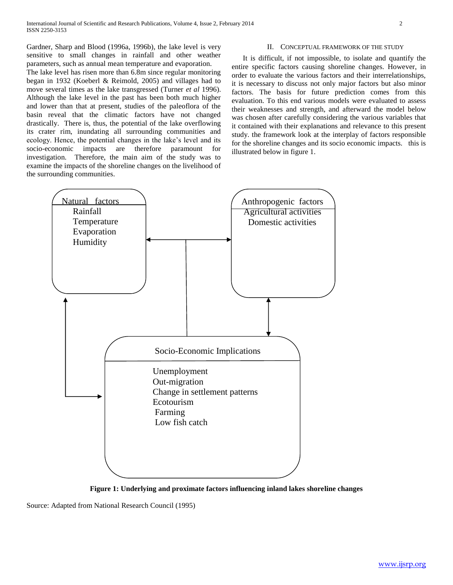Gardner, Sharp and Blood (1996a, 1996b), the lake level is very sensitive to small changes in rainfall and other weather parameters, such as annual mean temperature and evaporation.

The lake level has risen more than 6.8m since regular monitoring began in 1932 (Koeberl & Reimold, 2005) and villages had to move several times as the lake transgressed (Turner *et al* 1996). Although the lake level in the past has been both much higher and lower than that at present, studies of the paleoflora of the basin reveal that the climatic factors have not changed drastically. There is, thus, the potential of the lake overflowing its crater rim, inundating all surrounding communities and ecology. Hence, the potential changes in the lake's level and its socio-economic impacts are therefore paramount for investigation. Therefore, the main aim of the study was to examine the impacts of the shoreline changes on the livelihood of the surrounding communities.

#### II. CONCEPTUAL FRAMEWORK OF THE STUDY

 It is difficult, if not impossible, to isolate and quantify the entire specific factors causing shoreline changes. However, in order to evaluate the various factors and their interrelationships, it is necessary to discuss not only major factors but also minor factors. The basis for future prediction comes from this evaluation. To this end various models were evaluated to assess their weaknesses and strength, and afterward the model below was chosen after carefully considering the various variables that it contained with their explanations and relevance to this present study. the framework look at the interplay of factors responsible for the shoreline changes and its socio economic impacts. this is illustrated below in figure 1.



**Figure 1: Underlying and proximate factors influencing inland lakes shoreline changes**

Source: Adapted from National Research Council (1995)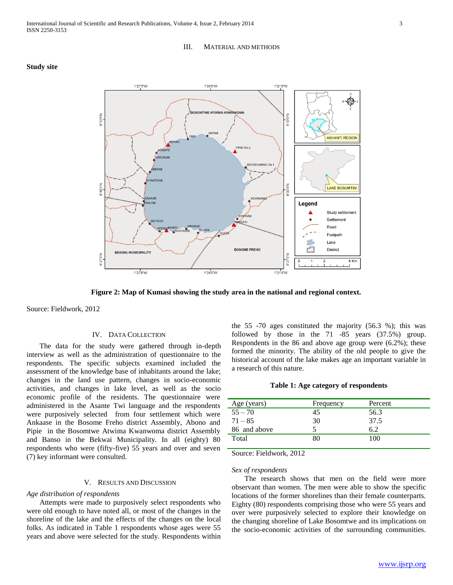## 1°27'0"W 1°24'0"W 1°21'0"W **IMTWE ATWIMA KWANWOMA NuU.bb** ASHANTI REGION PIPIE NO.2 **RODEKWANO N NuO,Utas** LAKE BOSUMTWI Legend Study settlement Settlement DETIESC Road Footpath Lake Distric **BEKWAI MUNICIPALITY**

**Figure 2: Map of Kumasi showing the study area in the national and regional context.**

1°24'0"W

Source: Fieldwork, 2012

**Study site** 

#### IV. DATA COLLECTION

1°27'0"W

 The data for the study were gathered through in-depth interview as well as the administration of questionnaire to the respondents. The specific subjects examined included the assessment of the knowledge base of inhabitants around the lake; changes in the land use pattern, changes in socio-economic activities, and changes in lake level, as well as the socio economic profile of the residents. The questionnaire were administered in the Asante Twi language and the respondents were purposively selected from four settlement which were Ankaase in the Bosome Freho district Assembly, Abono and Pipie in the Bosomtwe Atwima Kwanwoma district Assembly and Banso in the Bekwai Municipality. In all (eighty) 80 respondents who were (fifty-five) 55 years and over and seven (7) key informant were consulted.

### V. RESULTS AND DISCUSSION

#### *Age distribution of respondents*

 Attempts were made to purposively select respondents who were old enough to have noted all, or most of the changes in the shoreline of the lake and the effects of the changes on the local folks. As indicated in Table 1 respondents whose ages were 55 years and above were selected for the study. Respondents within the 55 -70 ages constituted the majority (56.3 %); this was followed by those in the 71 -85 years (37.5%) group. Respondents in the 86 and above age group were (6.2%); these formed the minority. The ability of the old people to give the historical account of the lake makes age an important variable in a research of this nature.

#### **Table 1: Age category of respondents**

| Age (years)  | Frequency | Percent |
|--------------|-----------|---------|
| $55 - 70$    | 45        | 56.3    |
| $71 - 85$    | 30        | 37.5    |
| 86 and above |           | 6.2     |
| Total        | 80        | 100     |
|              |           |         |

Source: Fieldwork, 2012

1°21'0"W

## *Sex of respondents*

 The research shows that men on the field were more observant than women. The men were able to show the specific locations of the former shorelines than their female counterparts. Eighty (80) respondents comprising those who were 55 years and over were purposively selected to explore their knowledge on the changing shoreline of Lake Bosomtwe and its implications on the socio-economic activities of the surrounding communities.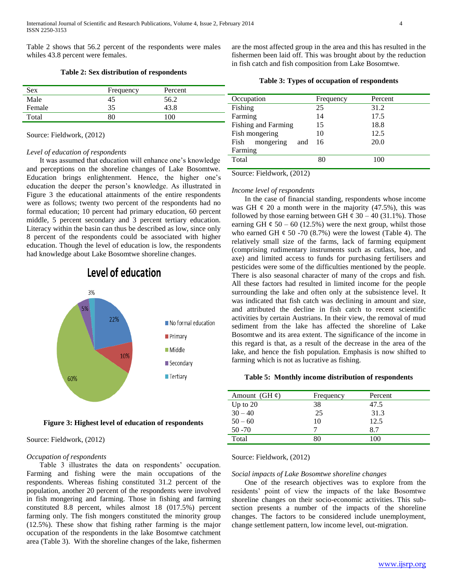Table 2 shows that 56.2 percent of the respondents were males whiles 43.8 percent were females.

#### **Table 2: Sex distribution of respondents**

|        |           |         | Table 3: Type |
|--------|-----------|---------|---------------|
| Sex    | Frequency | Percent |               |
| Male   |           | 56.2    | Occupation    |
| Female |           |         | Fishing       |

Source: Fieldwork, (2012)

#### *Level of education of respondents*

Total 80 100

 It was assumed that education will enhance one's knowledge and perceptions on the shoreline changes of Lake Bosomtwe. Education brings enlightenment. Hence, the higher one's education the deeper the person's knowledge. As illustrated in Figure 3 the educational attainments of the entire respondents were as follows; twenty two percent of the respondents had no formal education; 10 percent had primary education, 60 percent middle, 5 percent secondary and 3 percent tertiary education. Literacy within the basin can thus be described as low, since only 8 percent of the respondents could be associated with higher education. Though the level of education is low, the respondents had knowledge about Lake Bosomtwe shoreline changes.

Level of education

3% 22% No formal education  $\blacksquare$  Primary **Middle** 10% Secondary  $\blacksquare$  Tertiary 60%

**Figure 3: Highest level of education of respondents**

## Source: Fieldwork, (2012)

## *Occupation of respondents*

 Table 3 illustrates the data on respondents' occupation. Farming and fishing were the main occupations of the respondents. Whereas fishing constituted 31.2 percent of the population, another 20 percent of the respondents were involved in fish mongering and farming. Those in fishing and farming constituted 8.8 percent, whiles almost 18 (017.5%) percent farming only. The fish mongers constituted the minority group (12.5%). These show that fishing rather farming is the major occupation of the respondents in the lake Bosomtwe catchment area (Table 3). With the shoreline changes of the lake, fishermen

are the most affected group in the area and this has resulted in the fishermen been laid off. This was brought about by the reduction in fish catch and fish composition from Lake Bosomtwe.

 $s$  of occupation of respondents

| Occupation               | Frequency | Percent |
|--------------------------|-----------|---------|
| Fishing                  | 25        | 31.2    |
| Farming                  | 14        | 17.5    |
| Fishing and Farming      | 15        | 18.8    |
| Fish mongering           | 10        | 12.5    |
| mongering<br>Fish<br>and | 16        | 20.0    |
| Farming                  |           |         |
| Total                    | 80        | 100     |
|                          |           |         |

Source: Fieldwork, (2012)

## *Income level of respondents*

 In the case of financial standing, respondents whose income was GH  $\phi$  20 a month were in the majority (47.5%), this was followed by those earning between GH  $\phi$  30 – 40 (31.1%). Those earning GH  $\epsilon$  50 – 60 (12.5%) were the next group, whilst those who earned GH  $\phi$  50 -70 (8.7%) were the lowest (Table 4). The relatively small size of the farms, lack of farming equipment (comprising rudimentary instruments such as cutlass, hoe, and axe) and limited access to funds for purchasing fertilisers and pesticides were some of the difficulties mentioned by the people. There is also seasonal character of many of the crops and fish. All these factors had resulted in limited income for the people surrounding the lake and often only at the subsistence level. It was indicated that fish catch was declining in amount and size, and attributed the decline in fish catch to recent scientific activities by certain Austrians. In their view, the removal of mud sediment from the lake has affected the shoreline of Lake Bosomtwe and its area extent. The significance of the income in this regard is that, as a result of the decrease in the area of the lake, and hence the fish population. Emphasis is now shifted to farming which is not as lucrative as fishing.

#### **Table 5: Monthly income distribution of respondents**

| Amount (GH $\phi$ ) | Frequency | Percent |
|---------------------|-----------|---------|
| Up to $20$          | 38        | 47.5    |
| $30 - 40$           | 25        | 31.3    |
| $50 - 60$           | 10        | 12.5    |
| $50 - 70$           |           | 8.7     |
| Total               | 80        | 100     |

Source: Fieldwork, (2012)

### *Social impacts of Lake Bosomtwe shoreline changes*

 One of the research objectives was to explore from the residents' point of view the impacts of the lake Bosomtwe shoreline changes on their socio-economic activities. This subsection presents a number of the impacts of the shoreline changes. The factors to be considered include unemployment, change settlement pattern, low income level, out-migration.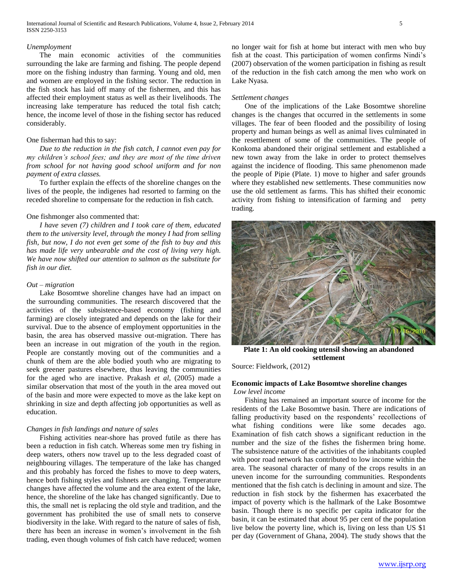#### *Unemployment*

 The main economic activities of the communities surrounding the lake are farming and fishing. The people depend more on the fishing industry than farming. Young and old, men and women are employed in the fishing sector. The reduction in the fish stock has laid off many of the fishermen, and this has affected their employment status as well as their livelihoods. The increasing lake temperature has reduced the total fish catch; hence, the income level of those in the fishing sector has reduced considerably.

#### One fisherman had this to say:

 *Due to the reduction in the fish catch, I cannot even pay for my children's school fees; and they are most of the time driven from school for not having good school uniform and for non payment of extra classes.*

 To further explain the effects of the shoreline changes on the lives of the people, the indigenes had resorted to farming on the receded shoreline to compensate for the reduction in fish catch.

### One fishmonger also commented that:

 *I have seven (7) children and I took care of them, educated them to the university level, through the money I had from selling fish, but now, I do not even get some of the fish to buy and this has made life very unbearable and the cost of living very high. We have now shifted our attention to salmon as the substitute for fish in our diet.* 

#### *Out – migration*

 Lake Bosomtwe shoreline changes have had an impact on the surrounding communities. The research discovered that the activities of the subsistence-based economy (fishing and farming) are closely integrated and depends on the lake for their survival. Due to the absence of employment opportunities in the basin, the area has observed massive out-migration. There has been an increase in out migration of the youth in the region. People are constantly moving out of the communities and a chunk of them are the able bodied youth who are migrating to seek greener pastures elsewhere, thus leaving the communities for the aged who are inactive. Prakash *et al*, (2005) made a similar observation that most of the youth in the area moved out of the basin and more were expected to move as the lake kept on shrinking in size and depth affecting job opportunities as well as education.

## *Changes in fish landings and nature of sales*

 Fishing activities near-shore has proved futile as there has been a reduction in fish catch. Whereas some men try fishing in deep waters, others now travel up to the less degraded coast of neighbouring villages. The temperature of the lake has changed and this probably has forced the fishes to move to deep waters, hence both fishing styles and fishnets are changing. Temperature changes have affected the volume and the area extent of the lake, hence, the shoreline of the lake has changed significantly. Due to this, the small net is replacing the old style and tradition, and the government has prohibited the use of small nets to conserve biodiversity in the lake. With regard to the nature of sales of fish, there has been an increase in women's involvement in the fish trading, even though volumes of fish catch have reduced; women

no longer wait for fish at home but interact with men who buy fish at the coast. This participation of women confirms Nindi's (2007) observation of the women participation in fishing as result of the reduction in the fish catch among the men who work on Lake Nyasa.

#### *Settlement changes*

 One of the implications of the Lake Bosomtwe shoreline changes is the changes that occurred in the settlements in some villages. The fear of been flooded and the possibility of losing property and human beings as well as animal lives culminated in the resettlement of some of the communities. The people of Konkoma abandoned their original settlement and established a new town away from the lake in order to protect themselves against the incidence of flooding. This same phenomenon made the people of Pipie (Plate. 1) move to higher and safer grounds where they established new settlements. These communities now use the old settlement as farms. This has shifted their economic activity from fishing to intensification of farming and petty trading.



**Plate 1: An old cooking utensil showing an abandoned settlement**

Source: Fieldwork, (2012)

## **Economic impacts of Lake Bosomtwe shoreline changes** *Low level income*

 Fishing has remained an important source of income for the residents of the Lake Bosomtwe basin. There are indications of falling productivity based on the respondents' recollections of what fishing conditions were like some decades ago. Examination of fish catch shows a significant reduction in the number and the size of the fishes the fishermen bring home. The subsistence nature of the activities of the inhabitants coupled with poor road network has contributed to low income within the area. The seasonal character of many of the crops results in an uneven income for the surrounding communities. Respondents mentioned that the fish catch is declining in amount and size. The reduction in fish stock by the fishermen has exacerbated the impact of poverty which is the hallmark of the Lake Bosomtwe basin. Though there is no specific per capita indicator for the basin, it can be estimated that about 95 per cent of the population live below the poverty line, which is, living on less than US \$1 per day (Government of Ghana, 2004). The study shows that the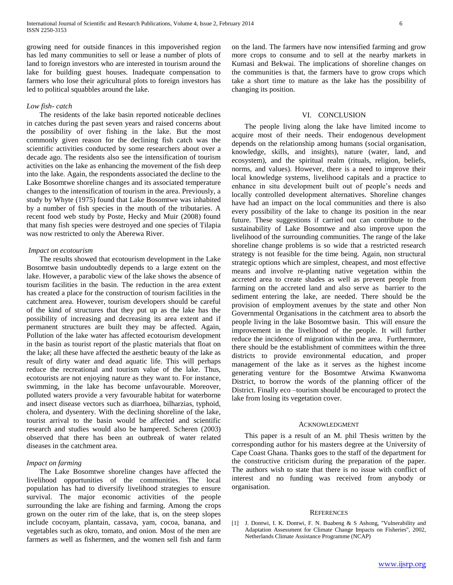growing need for outside finances in this impoverished region has led many communities to sell or lease a number of plots of land to foreign investors who are interested in tourism around the lake for building guest houses. Inadequate compensation to farmers who lose their agricultural plots to foreign investors has led to political squabbles around the lake.

### *Low fish- catch*

 The residents of the lake basin reported noticeable declines in catches during the past seven years and raised concerns about the possibility of over fishing in the lake. But the most commonly given reason for the declining fish catch was the scientific activities conducted by some researchers about over a decade ago. The residents also see the intensification of tourism activities on the lake as enhancing the movement of the fish deep into the lake. Again, the respondents associated the decline to the Lake Bosomtwe shoreline changes and its associated temperature changes to the intensification of tourism in the area. Previously, a study by Whyte (1975) found that Lake Bosomtwe was inhabited by a number of fish species in the mouth of the tributaries. A recent food web study by Poste, Hecky and Muir (2008) found that many fish species were destroyed and one species of Tilapia was now restricted to only the Aberewa River.

#### *Impact on ecotourism*

 The results showed that ecotourism development in the Lake Bosomtwe basin undoubtedly depends to a large extent on the lake. However, a parabolic view of the lake shows the absence of tourism facilities in the basin. The reduction in the area extent has created a place for the construction of tourism facilities in the catchment area. However, tourism developers should be careful of the kind of structures that they put up as the lake has the possibility of increasing and decreasing its area extent and if permanent structures are built they may be affected. Again, Pollution of the lake water has affected ecotourism development in the basin as tourist report of the plastic materials that float on the lake; all these have affected the aesthetic beauty of the lake as result of dirty water and dead aquatic life. This will perhaps reduce the recreational and tourism value of the lake. Thus, ecotourists are not enjoying nature as they want to. For instance, swimming, in the lake has become unfavourable. Moreover, polluted waters provide a very favourable habitat for waterborne and insect disease vectors such as diarrhoea, bilharzias, typhoid, cholera, and dysentery. With the declining shoreline of the lake, tourist arrival to the basin would be affected and scientific research and studies would also be hampered. Scheren (2003) observed that there has been an outbreak of water related diseases in the catchment area.

## *Impact on farming*

 The Lake Bosomtwe shoreline changes have affected the livelihood opportunities of the communities. The local population has had to diversify livelihood strategies to ensure survival. The major economic activities of the people surrounding the lake are fishing and farming. Among the crops grown on the outer rim of the lake, that is, on the steep slopes include cocoyam, plantain, cassava, yam, cocoa, banana, and vegetables such as okro, tomato, and onion. Most of the men are farmers as well as fishermen, and the women sell fish and farm on the land. The farmers have now intensified farming and grow more crops to consume and to sell at the nearby markets in Kumasi and Bekwai. The implications of shoreline changes on the communities is that, the farmers have to grow crops which take a short time to mature as the lake has the possibility of changing its position.

#### VI. CONCLUSION

 The people living along the lake have limited income to acquire most of their needs. Their endogenous development depends on the relationship among humans (social organisation, knowledge, skills, and insights), nature (water, land, and ecosystem), and the spiritual realm (rituals, religion, beliefs, norms, and values). However, there is a need to improve their local knowledge systems, livelihood capitals and a practice to enhance in situ development built out of people's needs and locally controlled development alternatives. Shoreline changes have had an impact on the local communities and there is also every possibility of the lake to change its position in the near future. These suggestions if carried out can contribute to the sustainability of Lake Bosomtwe and also improve upon the livelihood of the surrounding communities. The range of the lake shoreline change problems is so wide that a restricted research strategy is not feasible for the time being. Again, non structural strategic options which are simplest, cheapest, and most effective means and involve re-planting native vegetation within the accreted area to create shades as well as prevent people from farming on the accreted land and also serve as barrier to the sediment entering the lake, are needed. There should be the provision of employment avenues by the state and other Non Governmental Organisations in the catchment area to absorb the people living in the lake Bosomtwe basin. This will ensure the improvement in the livelihood of the people. It will further reduce the incidence of migration within the area. Furthermore, there should be the establishment of committees within the three districts to provide environmental education, and proper management of the lake as it serves as the highest income generating venture for the Bosomtwe Atwima Kwanwoma District, to borrow the words of the planning officer of the District. Finally eco –tourism should be encouraged to protect the lake from losing its vegetation cover.

#### ACKNOWLEDGMENT

 This paper is a result of an M. phil Thesis written by the corresponding author for his masters degree at the University of Cape Coast Ghana. Thanks goes to the staff of the department for the constructive criticism during the preparation of the paper. The authors wish to state that there is no issue with conflict of interest and no funding was received from anybody or organisation.

#### **REFERENCES**

[1] J. Dontwi, I. K. Dontwi, F. N. Buabeng & S Ashong, ''Vulnerability and Adaptation Assessment for Climate Change Impacts on Fisheries'', 2002, Netherlands Climate Assistance Programme (NCAP)